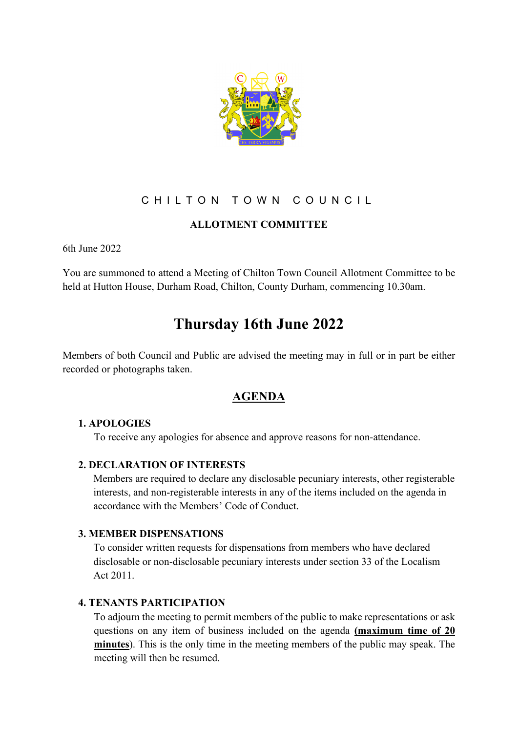

# CHILTON TOWN COUNCIL

# **ALLOTMENT COMMITTEE**

6th June 2022

You are summoned to attend a Meeting of Chilton Town Council Allotment Committee to be held at Hutton House, Durham Road, Chilton, County Durham, commencing 10.30am.

# **Thursday 16th June 2022**

Members of both Council and Public are advised the meeting may in full or in part be either recorded or photographs taken.

# **AGENDA**

### **1. APOLOGIES**

To receive any apologies for absence and approve reasons for non-attendance.

### **2. DECLARATION OF INTERESTS**

Members are required to declare any disclosable pecuniary interests, other registerable interests, and non-registerable interests in any of the items included on the agenda in accordance with the Members' Code of Conduct.

## **3. MEMBER DISPENSATIONS**

To consider written requests for dispensations from members who have declared disclosable or non-disclosable pecuniary interests under section 33 of the Localism Act 2011.

### **4. TENANTS PARTICIPATION**

To adjourn the meeting to permit members of the public to make representations or ask questions on any item of business included on the agenda **(maximum time of 20 minutes**). This is the only time in the meeting members of the public may speak. The meeting will then be resumed.